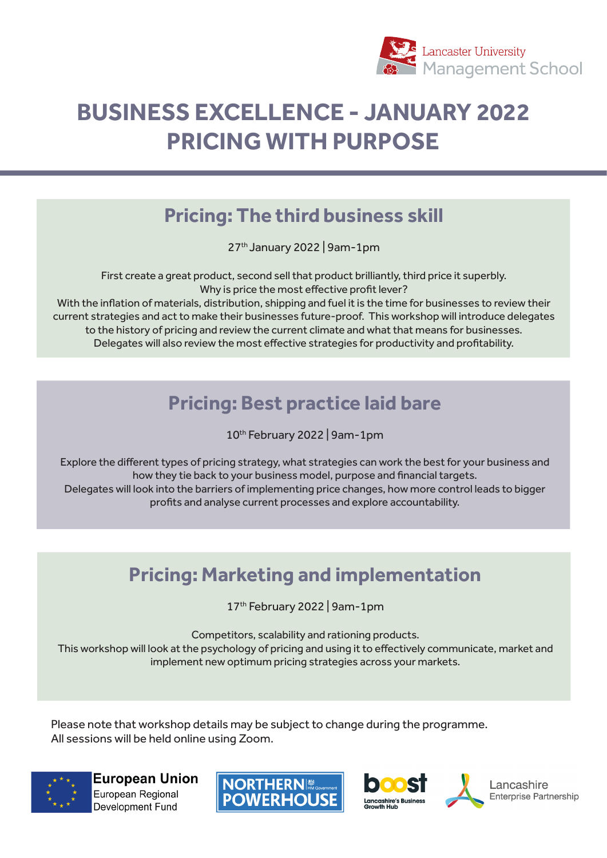

# **BUSINESS EXCELLENCE - JANUARY 2022 PRICING WITH PURPOSE**

#### **Pricing: The third business skill**

27th January 2022 | 9am-1pm

First create a great product, second sell that product brilliantly, third price it superbly. Why is price the most effective profit lever?

With the inflation of materials, distribution, shipping and fuel it is the time for businesses to review their current strategies and act to make their businesses future-proof. This workshop will introduce delegates to the history of pricing and review the current climate and what that means for businesses. Delegates will also review the most effective strategies for productivity and profitability.

### **Pricing: Best practice laid bare**

10th February 2022 | 9am-1pm

Explore the different types of pricing strategy, what strategies can work the best for your business and how they tie back to your business model, purpose and financial targets. Delegates will look into the barriers of implementing price changes, how more control leads to bigger profits and analyse current processes and explore accountability.

## **Pricing: Marketing and implementation**

17th February 2022 | 9am-1pm

Competitors, scalability and rationing products.

This workshop will look at the psychology of pricing and using it to effectively communicate, market and implement new optimum pricing strategies across your markets.

Please note that workshop details may be subject to change during the programme. All sessions will be held online using Zoom.



**European Union** European Regional Development Fund